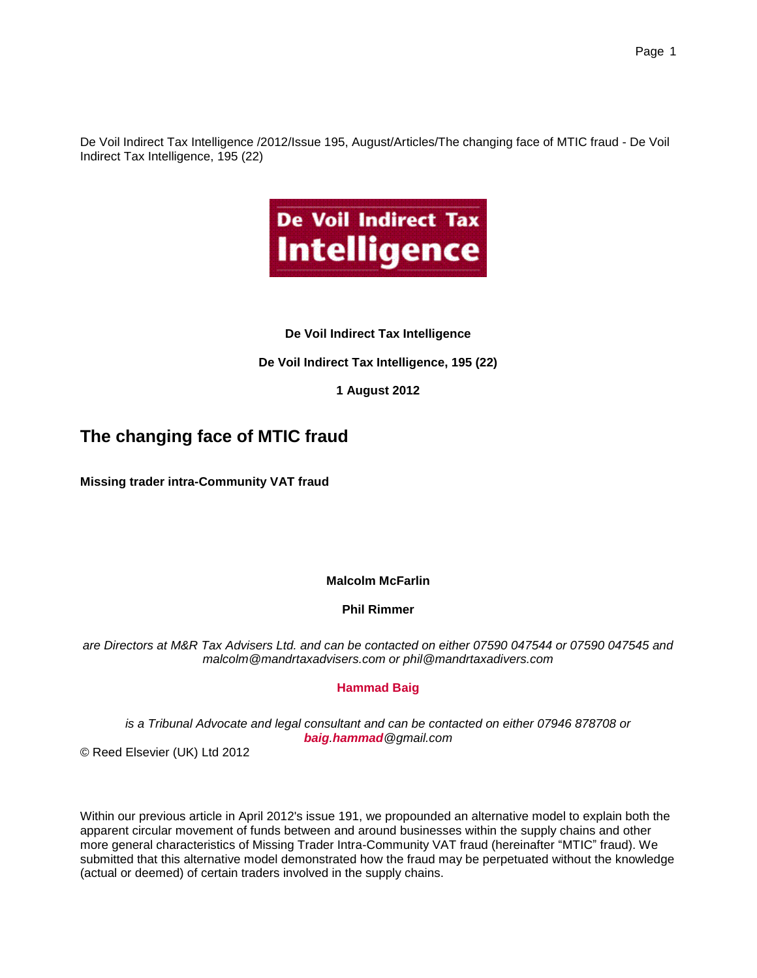De Voil Indirect Tax Intelligence /2012/Issue 195, August/Articles/The changing face of MTIC fraud - De Voil Indirect Tax Intelligence, 195 (22)



## **De Voil Indirect Tax Intelligence**

## **De Voil Indirect Tax Intelligence, 195 (22)**

# **1 August 2012**

# **The changing face of MTIC fraud**

**Missing trader intra-Community VAT fraud**

### **Malcolm McFarlin**

### **Phil Rimmer**

*are Directors at M&R Tax Advisers Ltd. and can be contacted on either 07590 047544 or 07590 047545 and malcolm@mandrtaxadvisers.com or phil@mandrtaxadivers.com*

### **Hammad Baig**

*is a Tribunal Advocate and legal consultant and can be contacted on either 07946 878708 or baig.hammad@gmail.com*

© Reed Elsevier (UK) Ltd 2012

Within our previous article in April 2012's issue 191, we propounded an alternative model to explain both the apparent circular movement of funds between and around businesses within the supply chains and other more general characteristics of Missing Trader Intra-Community VAT fraud (hereinafter "MTIC" fraud). We submitted that this alternative model demonstrated how the fraud may be perpetuated without the knowledge (actual or deemed) of certain traders involved in the supply chains.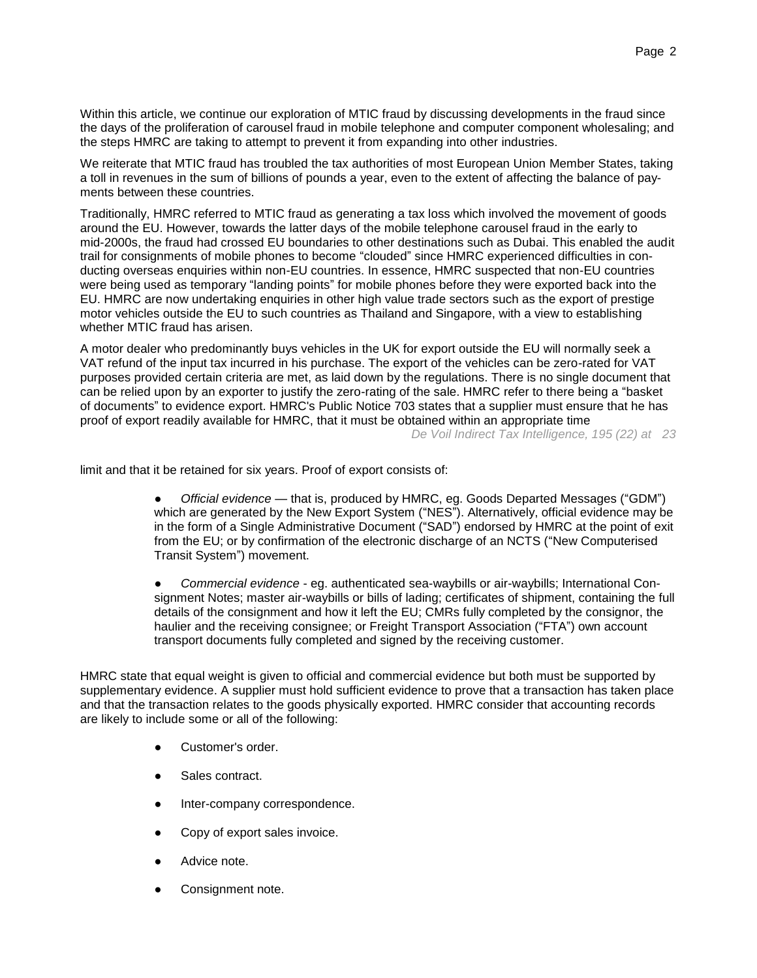Within this article, we continue our exploration of MTIC fraud by discussing developments in the fraud since the days of the proliferation of carousel fraud in mobile telephone and computer component wholesaling; and the steps HMRC are taking to attempt to prevent it from expanding into other industries.

We reiterate that MTIC fraud has troubled the tax authorities of most European Union Member States, taking a toll in revenues in the sum of billions of pounds a year, even to the extent of affecting the balance of payments between these countries.

Traditionally, HMRC referred to MTIC fraud as generating a tax loss which involved the movement of goods around the EU. However, towards the latter days of the mobile telephone carousel fraud in the early to mid-2000s, the fraud had crossed EU boundaries to other destinations such as Dubai. This enabled the audit trail for consignments of mobile phones to become "clouded" since HMRC experienced difficulties in conducting overseas enquiries within non-EU countries. In essence, HMRC suspected that non-EU countries were being used as temporary "landing points" for mobile phones before they were exported back into the EU. HMRC are now undertaking enquiries in other high value trade sectors such as the export of prestige motor vehicles outside the EU to such countries as Thailand and Singapore, with a view to establishing whether MTIC fraud has arisen.

A motor dealer who predominantly buys vehicles in the UK for export outside the EU will normally seek a VAT refund of the input tax incurred in his purchase. The export of the vehicles can be zero-rated for VAT purposes provided certain criteria are met, as laid down by the regulations. There is no single document that can be relied upon by an exporter to justify the zero-rating of the sale. HMRC refer to there being a "basket of documents" to evidence export. HMRC's Public Notice 703 states that a supplier must ensure that he has proof of export readily available for HMRC, that it must be obtained within an appropriate time *De Voil Indirect Tax Intelligence, 195 (22) at 23*

limit and that it be retained for six years. Proof of export consists of:

● *Official evidence* — that is, produced by HMRC, eg. Goods Departed Messages ("GDM") which are generated by the New Export System ("NES"). Alternatively, official evidence may be in the form of a Single Administrative Document ("SAD") endorsed by HMRC at the point of exit from the EU; or by confirmation of the electronic discharge of an NCTS ("New Computerised Transit System") movement.

● *Commercial evidence* - eg. authenticated sea-waybills or air-waybills; International Consignment Notes; master air-waybills or bills of lading; certificates of shipment, containing the full details of the consignment and how it left the EU; CMRs fully completed by the consignor, the haulier and the receiving consignee; or Freight Transport Association ("FTA") own account transport documents fully completed and signed by the receiving customer.

HMRC state that equal weight is given to official and commercial evidence but both must be supported by supplementary evidence. A supplier must hold sufficient evidence to prove that a transaction has taken place and that the transaction relates to the goods physically exported. HMRC consider that accounting records are likely to include some or all of the following:

- Customer's order.
- Sales contract.
- Inter-company correspondence.
- Copy of export sales invoice.
- Advice note.
- Consignment note.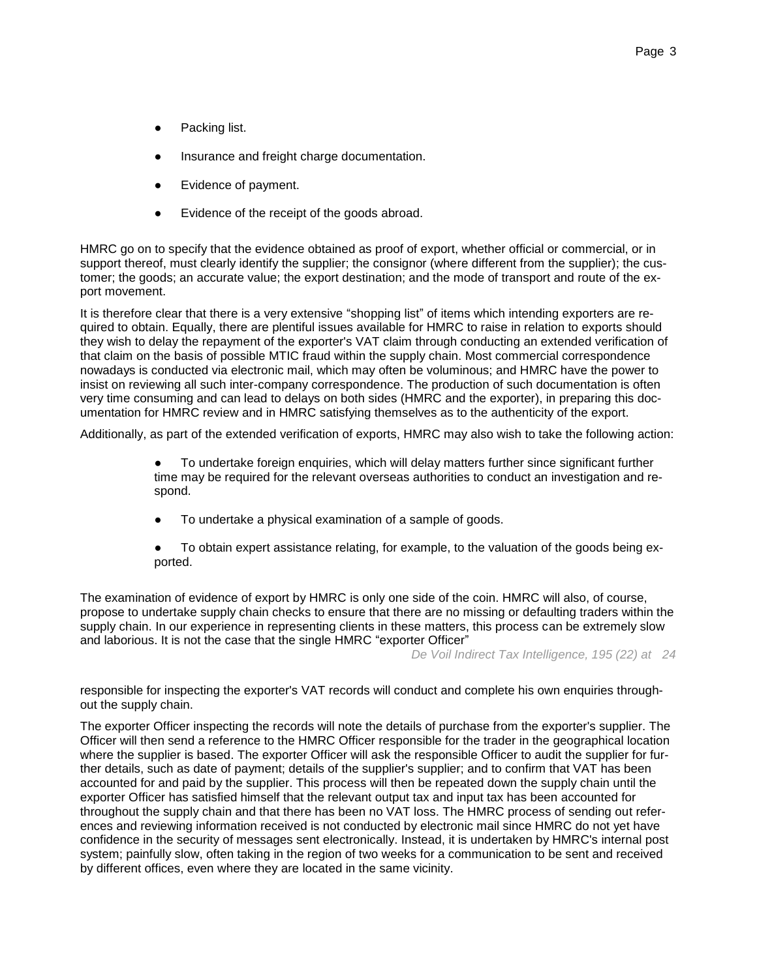- Packing list.
- Insurance and freight charge documentation.
- Evidence of payment.
- Evidence of the receipt of the goods abroad.

HMRC go on to specify that the evidence obtained as proof of export, whether official or commercial, or in support thereof, must clearly identify the supplier; the consignor (where different from the supplier); the customer; the goods; an accurate value; the export destination; and the mode of transport and route of the export movement.

It is therefore clear that there is a very extensive "shopping list" of items which intending exporters are required to obtain. Equally, there are plentiful issues available for HMRC to raise in relation to exports should they wish to delay the repayment of the exporter's VAT claim through conducting an extended verification of that claim on the basis of possible MTIC fraud within the supply chain. Most commercial correspondence nowadays is conducted via electronic mail, which may often be voluminous; and HMRC have the power to insist on reviewing all such inter-company correspondence. The production of such documentation is often very time consuming and can lead to delays on both sides (HMRC and the exporter), in preparing this documentation for HMRC review and in HMRC satisfying themselves as to the authenticity of the export.

Additionally, as part of the extended verification of exports, HMRC may also wish to take the following action:

- To undertake foreign enquiries, which will delay matters further since significant further time may be required for the relevant overseas authorities to conduct an investigation and respond.
- To undertake a physical examination of a sample of goods.
- To obtain expert assistance relating, for example, to the valuation of the goods being exported.

The examination of evidence of export by HMRC is only one side of the coin. HMRC will also, of course, propose to undertake supply chain checks to ensure that there are no missing or defaulting traders within the supply chain. In our experience in representing clients in these matters, this process can be extremely slow and laborious. It is not the case that the single HMRC "exporter Officer"

*De Voil Indirect Tax Intelligence, 195 (22) at 24*

responsible for inspecting the exporter's VAT records will conduct and complete his own enquiries throughout the supply chain.

The exporter Officer inspecting the records will note the details of purchase from the exporter's supplier. The Officer will then send a reference to the HMRC Officer responsible for the trader in the geographical location where the supplier is based. The exporter Officer will ask the responsible Officer to audit the supplier for further details, such as date of payment; details of the supplier's supplier; and to confirm that VAT has been accounted for and paid by the supplier. This process will then be repeated down the supply chain until the exporter Officer has satisfied himself that the relevant output tax and input tax has been accounted for throughout the supply chain and that there has been no VAT loss. The HMRC process of sending out references and reviewing information received is not conducted by electronic mail since HMRC do not yet have confidence in the security of messages sent electronically. Instead, it is undertaken by HMRC's internal post system; painfully slow, often taking in the region of two weeks for a communication to be sent and received by different offices, even where they are located in the same vicinity.